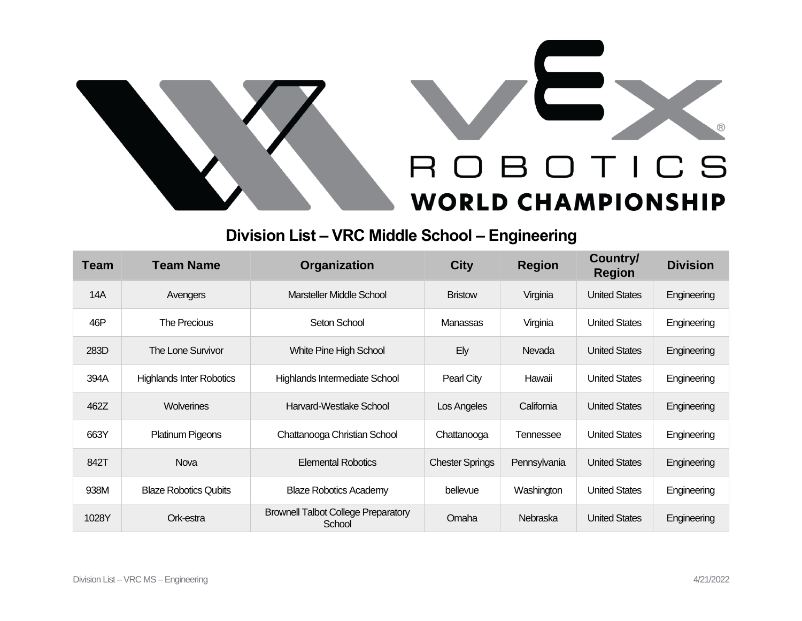



## **Division List – VRC Middle School – Engineering**

| <b>Team</b> | <b>Team Name</b>                | Organization                                         | <b>City</b>            | <b>Region</b> | <b>Country/</b><br><b>Region</b> | <b>Division</b> |
|-------------|---------------------------------|------------------------------------------------------|------------------------|---------------|----------------------------------|-----------------|
| 14A         | Avengers                        | Marsteller Middle School                             | <b>Bristow</b>         | Virginia      | <b>United States</b>             | Engineering     |
| 46P         | The Precious                    | Seton School                                         | Manassas               | Virginia      | <b>United States</b>             | Engineering     |
| 283D        | <b>The Lone Survivor</b>        | <b>White Pine High School</b>                        | Ely                    | Nevada        | <b>United States</b>             | Engineering     |
| 394A        | <b>Highlands Inter Robotics</b> | Highlands Intermediate School                        | Pearl City             | Hawaii        | <b>United States</b>             | Engineering     |
| 462Z        | Wolverines                      | Harvard-Westlake School                              | Los Angeles            | California    | <b>United States</b>             | Engineering     |
| 663Y        | Platinum Pigeons                | Chattanooga Christian School                         | Chattanooga            | Tennessee     | <b>United States</b>             | Engineering     |
| 842T        | Nova                            | <b>Elemental Robotics</b>                            | <b>Chester Springs</b> | Pennsylvania  | <b>United States</b>             | Engineering     |
| 938M        | <b>Blaze Robotics Qubits</b>    | <b>Blaze Robotics Academy</b>                        | bellevue               | Washington    | <b>United States</b>             | Engineering     |
| 1028Y       | Ork-estra                       | <b>Brownell Talbot College Preparatory</b><br>School | Omaha                  | Nebraska      | <b>United States</b>             | Engineering     |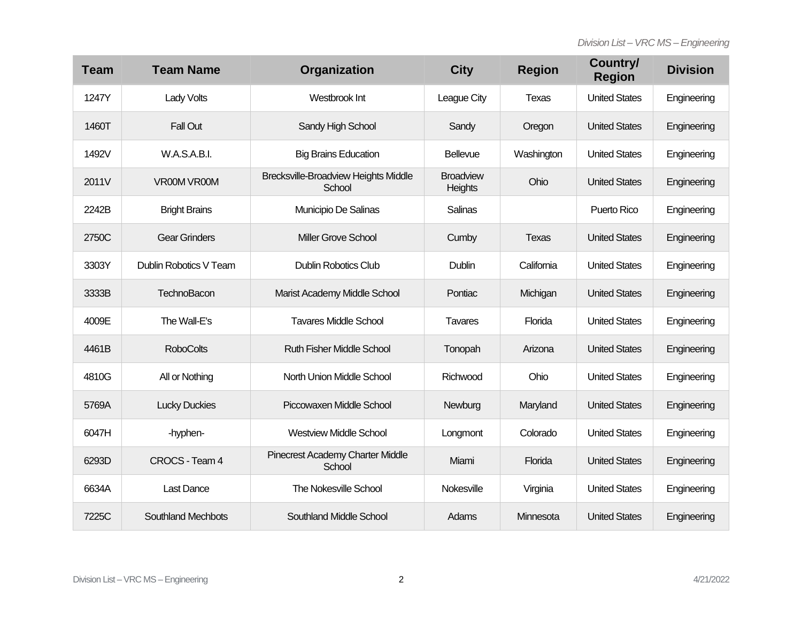| <b>Team</b> | <b>Team Name</b>          | Organization                                          | <b>City</b>                 | <b>Region</b> | Country/<br><b>Region</b> | <b>Division</b> |
|-------------|---------------------------|-------------------------------------------------------|-----------------------------|---------------|---------------------------|-----------------|
| 1247Y       | Lady Volts                | Westbrook Int                                         | League City                 | Texas         | <b>United States</b>      | Engineering     |
| 1460T       | <b>Fall Out</b>           | Sandy High School                                     | Sandy                       | Oregon        | <b>United States</b>      | Engineering     |
| 1492V       | W.A.S.A.B.I.              | <b>Big Brains Education</b>                           | Bellevue                    | Washington    | <b>United States</b>      | Engineering     |
| 2011V       | VR00M VR00M               | <b>Brecksville-Broadview Heights Middle</b><br>School | <b>Broadview</b><br>Heights | Ohio          | <b>United States</b>      | Engineering     |
| 2242B       | <b>Bright Brains</b>      | Municipio De Salinas                                  | Salinas                     |               | Puerto Rico               | Engineering     |
| 2750C       | <b>Gear Grinders</b>      | <b>Miller Grove School</b>                            | Cumby                       | <b>Texas</b>  | <b>United States</b>      | Engineering     |
| 3303Y       | Dublin Robotics V Team    | <b>Dublin Robotics Club</b>                           | Dublin                      | California    | <b>United States</b>      | Engineering     |
| 3333B       | TechnoBacon               | Marist Academy Middle School                          | Pontiac                     | Michigan      | <b>United States</b>      | Engineering     |
| 4009E       | The Wall-E's              | <b>Tavares Middle School</b>                          | <b>Tavares</b>              | Florida       | <b>United States</b>      | Engineering     |
| 4461B       | <b>RoboColts</b>          | <b>Ruth Fisher Middle School</b>                      | Tonopah                     | Arizona       | <b>United States</b>      | Engineering     |
| 4810G       | All or Nothing            | North Union Middle School                             | Richwood                    | Ohio          | <b>United States</b>      | Engineering     |
| 5769A       | <b>Lucky Duckies</b>      | Piccowaxen Middle School                              | Newburg                     | Maryland      | <b>United States</b>      | Engineering     |
| 6047H       | -hyphen-                  | <b>Westview Middle School</b>                         | Longmont                    | Colorado      | <b>United States</b>      | Engineering     |
| 6293D       | CROCS - Team 4            | <b>Pinecrest Academy Charter Middle</b><br>School     | Miami                       | Florida       | <b>United States</b>      | Engineering     |
| 6634A       | <b>Last Dance</b>         | <b>The Nokesville School</b>                          | Nokesville                  | Virginia      | <b>United States</b>      | Engineering     |
| 7225C       | <b>Southland Mechbots</b> | <b>Southland Middle School</b>                        | Adams                       | Minnesota     | <b>United States</b>      | Engineering     |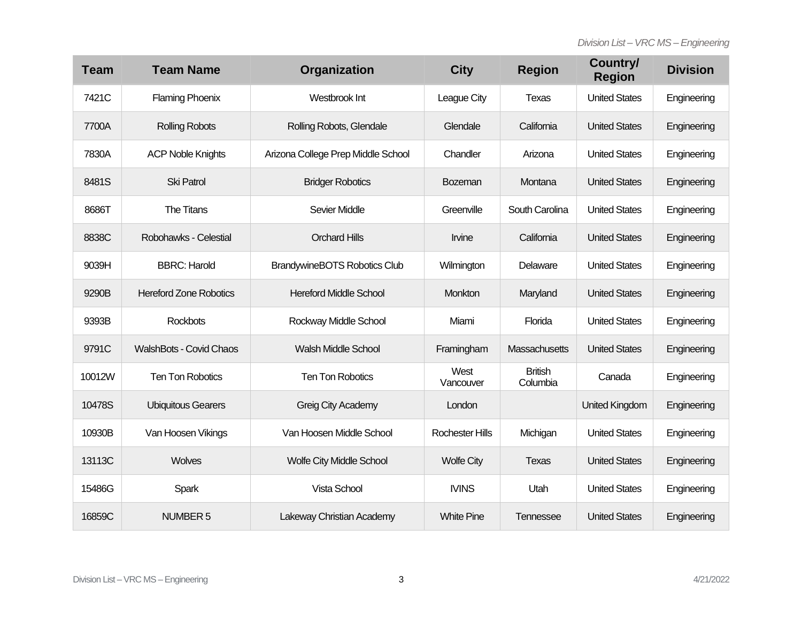| <b>Team</b> | <b>Team Name</b>               | Organization                        | <b>City</b>            | <b>Region</b>              | Country/<br><b>Region</b> | <b>Division</b> |
|-------------|--------------------------------|-------------------------------------|------------------------|----------------------------|---------------------------|-----------------|
| 7421C       | <b>Flaming Phoenix</b>         | Westbrook Int                       | League City            | Texas                      | <b>United States</b>      | Engineering     |
| 7700A       | <b>Rolling Robots</b>          | Rolling Robots, Glendale            | Glendale               | California                 | <b>United States</b>      | Engineering     |
| 7830A       | <b>ACP Noble Knights</b>       | Arizona College Prep Middle School  | Chandler               | Arizona                    | <b>United States</b>      | Engineering     |
| 8481S       | <b>Ski Patrol</b>              | <b>Bridger Robotics</b>             | <b>Bozeman</b>         | Montana                    | <b>United States</b>      | Engineering     |
| 8686T       | The Titans                     | Sevier Middle                       | Greenville             | South Carolina             | <b>United States</b>      | Engineering     |
| 8838C       | Robohawks - Celestial          | <b>Orchard Hills</b>                | Irvine                 | California                 | <b>United States</b>      | Engineering     |
| 9039H       | <b>BBRC: Harold</b>            | <b>BrandywineBOTS Robotics Club</b> | Wilmington             | Delaware                   | <b>United States</b>      | Engineering     |
| 9290B       | <b>Hereford Zone Robotics</b>  | <b>Hereford Middle School</b>       | Monkton                | Maryland                   | <b>United States</b>      | Engineering     |
| 9393B       | <b>Rockbots</b>                | Rockway Middle School               | Miami                  | Florida                    | <b>United States</b>      | Engineering     |
| 9791C       | <b>WalshBots - Covid Chaos</b> | <b>Walsh Middle School</b>          | Framingham             | Massachusetts              | <b>United States</b>      | Engineering     |
| 10012W      | <b>Ten Ton Robotics</b>        | <b>Ten Ton Robotics</b>             | West<br>Vancouver      | <b>British</b><br>Columbia | Canada                    | Engineering     |
| 10478S      | <b>Ubiquitous Gearers</b>      | Greig City Academy                  | London                 |                            | <b>United Kingdom</b>     | Engineering     |
| 10930B      | Van Hoosen Vikings             | Van Hoosen Middle School            | <b>Rochester Hills</b> | Michigan                   | <b>United States</b>      | Engineering     |
| 13113C      | Wolves                         | <b>Wolfe City Middle School</b>     | <b>Wolfe City</b>      | Texas                      | <b>United States</b>      | Engineering     |
| 15486G      | Spark                          | Vista School                        | <b>IVINS</b>           | Utah                       | <b>United States</b>      | Engineering     |
| 16859C      | <b>NUMBER 5</b>                | Lakeway Christian Academy           | <b>White Pine</b>      | Tennessee                  | <b>United States</b>      | Engineering     |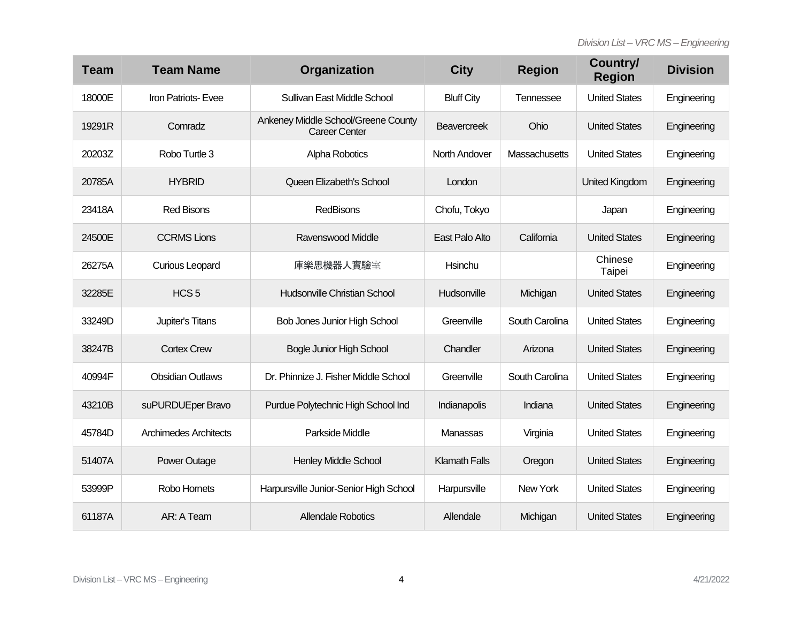| <b>Team</b> | <b>Team Name</b>        | Organization                                                | <b>City</b>          | <b>Region</b>  | Country/<br><b>Region</b> | <b>Division</b> |
|-------------|-------------------------|-------------------------------------------------------------|----------------------|----------------|---------------------------|-----------------|
| 18000E      | Iron Patriots-Evee      | Sullivan East Middle School                                 | <b>Bluff City</b>    | Tennessee      | <b>United States</b>      | Engineering     |
| 19291R      | Comradz                 | Ankeney Middle School/Greene County<br><b>Career Center</b> | <b>Beavercreek</b>   | Ohio           | <b>United States</b>      | Engineering     |
| 20203Z      | Robo Turtle 3           | Alpha Robotics                                              | <b>North Andover</b> | Massachusetts  | <b>United States</b>      | Engineering     |
| 20785A      | <b>HYBRID</b>           | Queen Elizabeth's School                                    | London               |                | United Kingdom            | Engineering     |
| 23418A      | <b>Red Bisons</b>       | RedBisons                                                   | Chofu, Tokyo         |                | Japan                     | Engineering     |
| 24500E      | <b>CCRMS Lions</b>      | Ravenswood Middle                                           | East Palo Alto       | California     | <b>United States</b>      | Engineering     |
| 26275A      | <b>Curious Leopard</b>  | 庫樂思機器人實驗室                                                   | Hsinchu              |                | Chinese<br>Taipei         | Engineering     |
| 32285E      | HCS <sub>5</sub>        | Hudsonville Christian School                                | Hudsonville          | Michigan       | <b>United States</b>      | Engineering     |
| 33249D      | Jupiter's Titans        | <b>Bob Jones Junior High School</b>                         | Greenville           | South Carolina | <b>United States</b>      | Engineering     |
| 38247B      | <b>Cortex Crew</b>      | <b>Bogle Junior High School</b>                             | Chandler             | Arizona        | <b>United States</b>      | Engineering     |
| 40994F      | <b>Obsidian Outlaws</b> | Dr. Phinnize J. Fisher Middle School                        | Greenville           | South Carolina | <b>United States</b>      | Engineering     |
| 43210B      | suPURDUEper Bravo       | Purdue Polytechnic High School Ind                          | <b>Indianapolis</b>  | Indiana        | <b>United States</b>      | Engineering     |
| 45784D      | Archimedes Architects   | Parkside Middle                                             | Manassas             | Virginia       | <b>United States</b>      | Engineering     |
| 51407A      | <b>Power Outage</b>     | <b>Henley Middle School</b>                                 | <b>Klamath Falls</b> | Oregon         | <b>United States</b>      | Engineering     |
| 53999P      | Robo Hornets            | Harpursville Junior-Senior High School                      | Harpursville         | New York       | <b>United States</b>      | Engineering     |
| 61187A      | AR: A Team              | <b>Allendale Robotics</b>                                   | Allendale            | Michigan       | <b>United States</b>      | Engineering     |